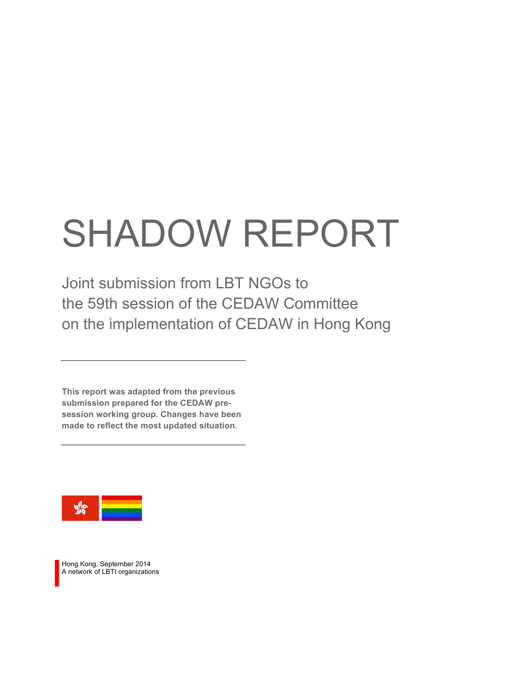# SHADOW REPORT

Joint submission from LBT NGOs to the 59th session of the CEDAW Committee on the implementation of CEDAW in Hong Kong

**This report was adapted from the previous submission prepared for the CEDAW presession working group. Changes have been made to reflect the most updated situation.**



Hong Kong, September 2014 A network of LBTI organizations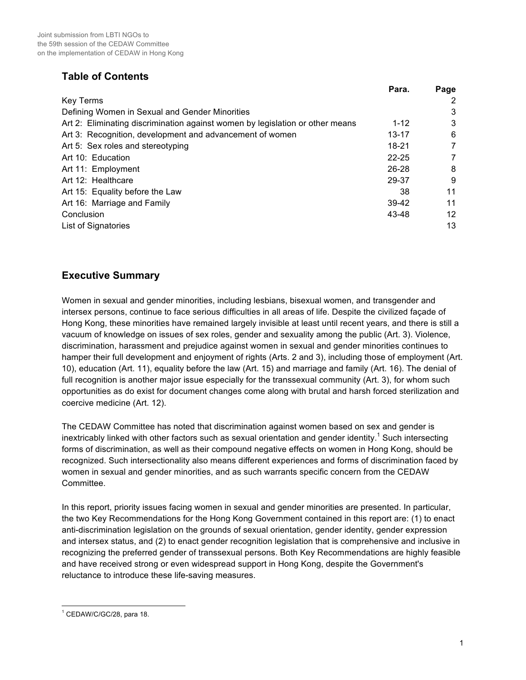# **Table of Contents**

|                                                                               | Para.     | Page |
|-------------------------------------------------------------------------------|-----------|------|
| <b>Key Terms</b>                                                              |           | 2    |
| Defining Women in Sexual and Gender Minorities                                |           | 3    |
| Art 2: Eliminating discrimination against women by legislation or other means | $1 - 12$  | 3    |
| Art 3: Recognition, development and advancement of women                      | $13 - 17$ | 6    |
| Art 5: Sex roles and stereotyping                                             | 18-21     | 7    |
| Art 10: Education                                                             | $22 - 25$ | 7    |
| Art 11: Employment                                                            | 26-28     | 8    |
| Art 12: Healthcare                                                            | 29-37     | 9    |
| Art 15: Equality before the Law                                               | 38        | 11   |
| Art 16: Marriage and Family                                                   | 39-42     | 11   |
| Conclusion                                                                    | 43-48     | 12   |
| List of Signatories                                                           |           | 13   |

# **Executive Summary**

Women in sexual and gender minorities, including lesbians, bisexual women, and transgender and intersex persons, continue to face serious difficulties in all areas of life. Despite the civilized façade of Hong Kong, these minorities have remained largely invisible at least until recent years, and there is still a vacuum of knowledge on issues of sex roles, gender and sexuality among the public (Art. 3). Violence, discrimination, harassment and prejudice against women in sexual and gender minorities continues to hamper their full development and enjoyment of rights (Arts. 2 and 3), including those of employment (Art. 10), education (Art. 11), equality before the law (Art. 15) and marriage and family (Art. 16). The denial of full recognition is another major issue especially for the transsexual community (Art. 3), for whom such opportunities as do exist for document changes come along with brutal and harsh forced sterilization and coercive medicine (Art. 12).

The CEDAW Committee has noted that discrimination against women based on sex and gender is inextricably linked with other factors such as sexual orientation and gender identity.<sup>1</sup> Such intersecting forms of discrimination, as well as their compound negative effects on women in Hong Kong, should be recognized. Such intersectionality also means different experiences and forms of discrimination faced by women in sexual and gender minorities, and as such warrants specific concern from the CEDAW Committee.

In this report, priority issues facing women in sexual and gender minorities are presented. In particular, the two Key Recommendations for the Hong Kong Government contained in this report are: (1) to enact anti-discrimination legislation on the grounds of sexual orientation, gender identity, gender expression and intersex status, and (2) to enact gender recognition legislation that is comprehensive and inclusive in recognizing the preferred gender of transsexual persons. Both Key Recommendations are highly feasible and have received strong or even widespread support in Hong Kong, despite the Government's reluctance to introduce these life-saving measures.

 <sup>1</sup> CEDAW/C/GC/28, para 18.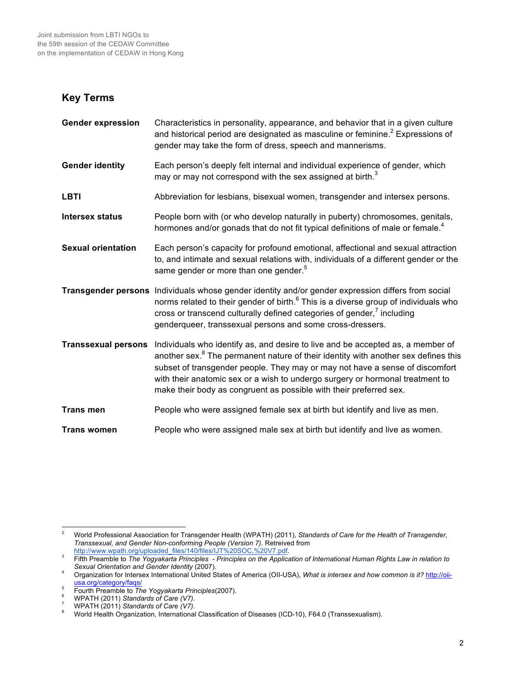## **Key Terms**

| <b>Gender expression</b>   | Characteristics in personality, appearance, and behavior that in a given culture<br>and historical period are designated as masculine or feminine. <sup>2</sup> Expressions of<br>gender may take the form of dress, speech and mannerisms.                                                                                                                                                                              |
|----------------------------|--------------------------------------------------------------------------------------------------------------------------------------------------------------------------------------------------------------------------------------------------------------------------------------------------------------------------------------------------------------------------------------------------------------------------|
| <b>Gender identity</b>     | Each person's deeply felt internal and individual experience of gender, which<br>may or may not correspond with the sex assigned at birth. <sup>3</sup>                                                                                                                                                                                                                                                                  |
| <b>LBTI</b>                | Abbreviation for lesbians, bisexual women, transgender and intersex persons.                                                                                                                                                                                                                                                                                                                                             |
| <b>Intersex status</b>     | People born with (or who develop naturally in puberty) chromosomes, genitals,<br>hormones and/or gonads that do not fit typical definitions of male or female. <sup>4</sup>                                                                                                                                                                                                                                              |
| <b>Sexual orientation</b>  | Each person's capacity for profound emotional, affectional and sexual attraction<br>to, and intimate and sexual relations with, individuals of a different gender or the<br>same gender or more than one gender. <sup>5</sup>                                                                                                                                                                                            |
|                            | Transgender persons Individuals whose gender identity and/or gender expression differs from social<br>norms related to their gender of birth. <sup>6</sup> This is a diverse group of individuals who<br>cross or transcend culturally defined categories of gender, <sup>7</sup> including<br>genderqueer, transsexual persons and some cross-dressers.                                                                 |
| <b>Transsexual persons</b> | Individuals who identify as, and desire to live and be accepted as, a member of<br>another sex. <sup>8</sup> The permanent nature of their identity with another sex defines this<br>subset of transgender people. They may or may not have a sense of discomfort<br>with their anatomic sex or a wish to undergo surgery or hormonal treatment to<br>make their body as congruent as possible with their preferred sex. |
| <b>Trans men</b>           | People who were assigned female sex at birth but identify and live as men.                                                                                                                                                                                                                                                                                                                                               |
| <b>Trans women</b>         | People who were assigned male sex at birth but identify and live as women.                                                                                                                                                                                                                                                                                                                                               |

 <sup>2</sup> World Professional Association for Transgender Health (WPATH) (2011), *Standards of Care for the Health of Transgender, Transsexual, and Gender Non-conforming People (Version 7)*. Retreived from

http://www.wpath.org/uploaded\_files/140/files/IJT%20SOC,%20V7.pdf.<br><sup>3</sup> Fifth Preamble to *The Yogyakarta Principles - Principles on the Application of International Human Rights Law in relation to* Sexual Orientation and

<sup>&</sup>lt;sup>4</sup> Organization for Intersex International United States of America (OII-USA), *What is intersex and how common is it?* http://oii-<br>
<sup>5</sup> Eourth Preamble to *The Yogyakarta Principles* (2007).

Fourth Preamble to The Yogyakarta Principles(2007).<br>
WPATH (2011) Standards of Care (V7).<br>
WPATH (2011) Standards of Care (V7).<br>
WORTH (2011) Standards of Care (V7).<br>
World Health Organization, International Classification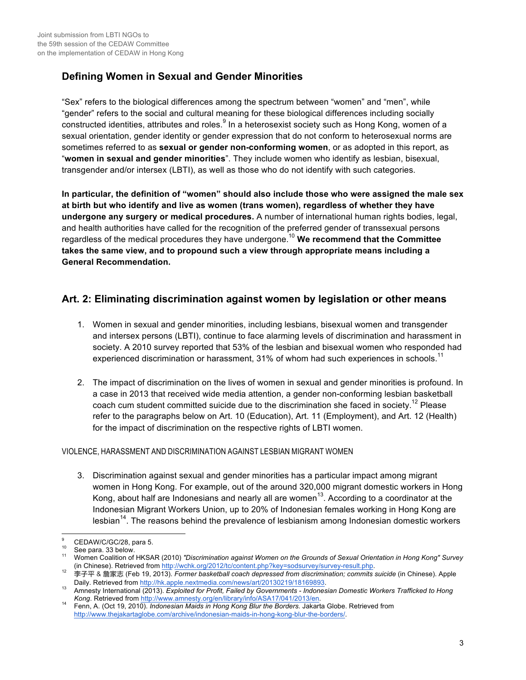# **Defining Women in Sexual and Gender Minorities**

"Sex" refers to the biological differences among the spectrum between "women" and "men", while "gender" refers to the social and cultural meaning for these biological differences including socially constructed identities, attributes and roles.<sup>9</sup> In a heterosexist society such as Hong Kong, women of a sexual orientation, gender identity or gender expression that do not conform to heterosexual norms are sometimes referred to as **sexual or gender non-conforming women**, or as adopted in this report, as "**women in sexual and gender minorities**". They include women who identify as lesbian, bisexual, transgender and/or intersex (LBTI), as well as those who do not identify with such categories.

**In particular, the definition of "women" should also include those who were assigned the male sex at birth but who identify and live as women (trans women), regardless of whether they have undergone any surgery or medical procedures.** A number of international human rights bodies, legal, and health authorities have called for the recognition of the preferred gender of transsexual persons regardless of the medical procedures they have undergone.10 **We recommend that the Committee takes the same view, and to propound such a view through appropriate means including a General Recommendation.**

# **Art. 2: Eliminating discrimination against women by legislation or other means**

- 1. Women in sexual and gender minorities, including lesbians, bisexual women and transgender and intersex persons (LBTI), continue to face alarming levels of discrimination and harassment in society. A 2010 survey reported that 53% of the lesbian and bisexual women who responded had experienced discrimination or harassment, 31% of whom had such experiences in schools.<sup>11</sup>
- 2. The impact of discrimination on the lives of women in sexual and gender minorities is profound. In a case in 2013 that received wide media attention, a gender non-conforming lesbian basketball coach cum student committed suicide due to the discrimination she faced in society.<sup>12</sup> Please refer to the paragraphs below on Art. 10 (Education), Art. 11 (Employment), and Art. 12 (Health) for the impact of discrimination on the respective rights of LBTI women.

#### VIOLENCE, HARASSMENT AND DISCRIMINATION AGAINST LESBIAN MIGRANT WOMEN

3. Discrimination against sexual and gender minorities has a particular impact among migrant women in Hong Kong. For example, out of the around 320,000 migrant domestic workers in Hong Kong, about half are Indonesians and nearly all are women<sup>13</sup>. According to a coordinator at the Indonesian Migrant Workers Union, up to 20% of Indonesian females working in Hong Kong are lesbian<sup>14</sup>. The reasons behind the prevalence of lesbianism among Indonesian domestic workers

<sup>9</sup> CEDAW/C/GC/28, para 5.<br><sup>10</sup> See para. 33 below.<br>11 Women Coalition of HKSAR (2010) *"Discrimination against Women on the Grounds of Sexual Orientation in Hong Kong" Survey*<br>11 (in Chinese). Retrieved from http://wchk.org

the chineses). Retrieved from the manufacture of the transfer of the pressed from discrimination; commits suicide (in Chinese). Apple Daily. Retrieved from http://hk.apple.nextmedia.com/news/art/20130219/18169893. 13 Amnesty International (2013). *Exploited for Profit, Failed by Governments - Indonesian Domestic Workers Trafficked to Hong* 

*Kong*. Retrieved from http://www.amnesty.org/en/library/info/ASA17/041/2013/en. 14 Fenn, A. (Oct 19, 2010). *Indonesian Maids in Hong Kong Blur the Borders.* Jakarta Globe. Retrieved from

http://www.thejakartaglobe.com/archive/indonesian-maids-in-hong-kong-blur-the-borders/.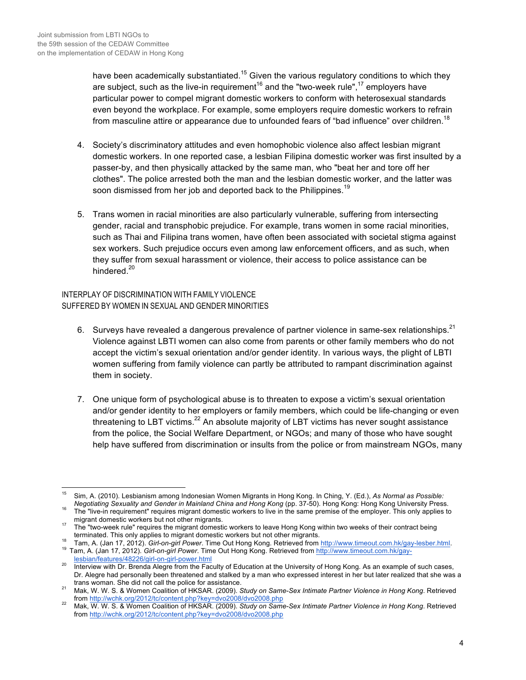have been academically substantiated.<sup>15</sup> Given the various regulatory conditions to which they are subject, such as the live-in requirement<sup>16</sup> and the "two-week rule",<sup>17</sup> employers have particular power to compel migrant domestic workers to conform with heterosexual standards even beyond the workplace. For example, some employers require domestic workers to refrain from masculine attire or appearance due to unfounded fears of "bad influence" over children.<sup>18</sup>

- 4. Society's discriminatory attitudes and even homophobic violence also affect lesbian migrant domestic workers. In one reported case, a lesbian Filipina domestic worker was first insulted by a passer-by, and then physically attacked by the same man, who "beat her and tore off her clothes". The police arrested both the man and the lesbian domestic worker, and the latter was soon dismissed from her job and deported back to the Philippines.<sup>19</sup>
- 5. Trans women in racial minorities are also particularly vulnerable, suffering from intersecting gender, racial and transphobic prejudice. For example, trans women in some racial minorities, such as Thai and Filipina trans women, have often been associated with societal stigma against sex workers. Such prejudice occurs even among law enforcement officers, and as such, when they suffer from sexual harassment or violence, their access to police assistance can be hindered.<sup>20</sup>

INTERPLAY OF DISCRIMINATION WITH FAMILY VIOLENCE SUFFERED BY WOMEN IN SEXUAL AND GENDER MINORITIES

- 6. Surveys have revealed a dangerous prevalence of partner violence in same-sex relationships.<sup>21</sup> Violence against LBTI women can also come from parents or other family members who do not accept the victim's sexual orientation and/or gender identity. In various ways, the plight of LBTI women suffering from family violence can partly be attributed to rampant discrimination against them in society.
- 7. One unique form of psychological abuse is to threaten to expose a victim's sexual orientation and/or gender identity to her employers or family members, which could be life-changing or even threatening to LBT victims.<sup>22</sup> An absolute maiority of LBT victims has never sought assistance from the police, the Social Welfare Department, or NGOs; and many of those who have sought help have suffered from discrimination or insults from the police or from mainstream NGOs, many

lesbian/features/48226/girl-on-girl-power.html 20 Interview with Dr. Brenda Alegre from the Faculty of Education at the University of Hong Kong. As an example of such cases,

 <sup>15</sup> Sim, A. (2010). Lesbianism among Indonesian Women Migrants in Hong Kong. In Ching, Y. (Ed.), *As Normal as Possible:* 

<sup>&</sup>lt;sup>16</sup> The "live-in requirement" requires migrant domestic workers to live in the same premise of the employer. This only applies to migrant domestic workers but not other migrants.

migrant domestic workers but not our migrant domestic workers to leave Hong Kong within two weeks of their contract being<br>terminated. This only applies to migrant domestic workers but not other migrants.

<sup>18</sup> Tam, A. (Jan 17, 2012). Girl-on-girl Power. Time Out Hong Kong. Retrieved from http://www.timeout.com.hk/gay-lesber.html.<br><sup>19</sup> Tam, A. (Jan 17, 2012). Girl-on-girl Power. Time Out Hong Kong. Retrieved from http://www.ti

Dr. Alegre had personally been threatened and stalked by a man who expressed interest in her but later realized that she was a trans woman. She did not call the police for assistance.

Mak, W. W. S. & Women Coalition of HKSAR. (2009). *Study on Same-Sex Intimate Partner Violence in Hong Kong.* Retrieved<br>from http://wchk.org/2012/tc/content.php?key=dvo2008/dvo2008.php

from http://wchk.org/2012/tc/content.php?key=dvo2008/dvo2008.php <sup>22</sup> Mak, W. W. S. & Women Coalition of HKSAR. (2009). *Study on Same-Sex Intimate Partner Violence in Hong Kong*. Retrieved from http://wchk.org/2012/tc/content.php?key=dvo2008/dvo2008.php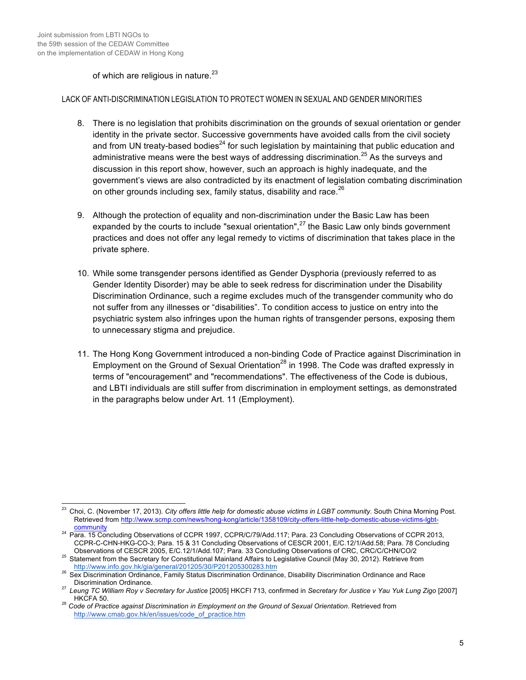#### of which are religious in nature. $23$

#### LACK OF ANTI-DISCRIMINATION LEGISLATION TO PROTECT WOMEN IN SEXUAL AND GENDER MINORITIES

- 8. There is no legislation that prohibits discrimination on the grounds of sexual orientation or gender identity in the private sector. Successive governments have avoided calls from the civil society and from UN treaty-based bodies<sup>24</sup> for such legislation by maintaining that public education and administrative means were the best ways of addressing discrimination.<sup>25</sup> As the surveys and discussion in this report show, however, such an approach is highly inadequate, and the government's views are also contradicted by its enactment of legislation combating discrimination on other grounds including sex, family status, disability and race. $^{26}$
- 9. Although the protection of equality and non-discrimination under the Basic Law has been expanded by the courts to include "sexual orientation",<sup>27</sup> the Basic Law only binds government practices and does not offer any legal remedy to victims of discrimination that takes place in the private sphere.
- 10. While some transgender persons identified as Gender Dysphoria (previously referred to as Gender Identity Disorder) may be able to seek redress for discrimination under the Disability Discrimination Ordinance, such a regime excludes much of the transgender community who do not suffer from any illnesses or "disabilities". To condition access to justice on entry into the psychiatric system also infringes upon the human rights of transgender persons, exposing them to unnecessary stigma and prejudice.
- 11. The Hong Kong Government introduced a non-binding Code of Practice against Discrimination in Employment on the Ground of Sexual Orientation<sup>28</sup> in 1998. The Code was drafted expressly in terms of "encouragement" and "recommendations". The effectiveness of the Code is dubious, and LBTI individuals are still suffer from discrimination in employment settings, as demonstrated in the paragraphs below under Art. 11 (Employment).

<sup>&</sup>lt;sup>23</sup> Choi, C. (November 17, 2013). *City offers little help for domestic abuse victims in LGBT community*. South China Morning Post. Retrieved from http://www.scmp.com/news/hong-kong/article/1358109/city-offers-little-help-domestic-abuse-victims-lgbt-

community <sup>24</sup> Para. 15 Concluding Observations of CCPR 1997, CCPR/C/79/Add.117; Para. 23 Concluding Observations of CCPR 2013, CCPR-C-CHN-HKG-CO-3; Para. 15 & 31 Concluding Observations of CESCR 2001, E/C.12/1/Add.58; Para. 78 Concluding<br>Observations of CESCR 2005, E/C.12/1/Add.107; Para. 33 Concluding Observations of CRC, CRC/C/CHN/CO/2

<sup>&</sup>lt;sup>25</sup> Statement from the Secretary for Constitutional Mainland Affairs to Legislative Council (May 30, 2012). Retrieve from http://www.info.gov.hk/gia/general/201205/30/P201205300283.htm

<sup>&</sup>lt;sup>26</sup> Sex Discrimination Ordinance, Family Status Discrimination Ordinance, Disability Discrimination Ordinance and Race<br>Discrimination Ordinance.

<sup>&</sup>lt;sup>27</sup> Leung TC William Roy v Secretary for Justice [2005] HKCFI 713, confirmed in Secretary for Justice v Yau Yuk Lung Zigo [2007] HKCFA 50. <sup>28</sup> *Code of Practice against Discrimination in Employment on the Ground of Sexual Orientation*. Retrieved from

http://www.cmab.gov.hk/en/issues/code\_of\_practice.htm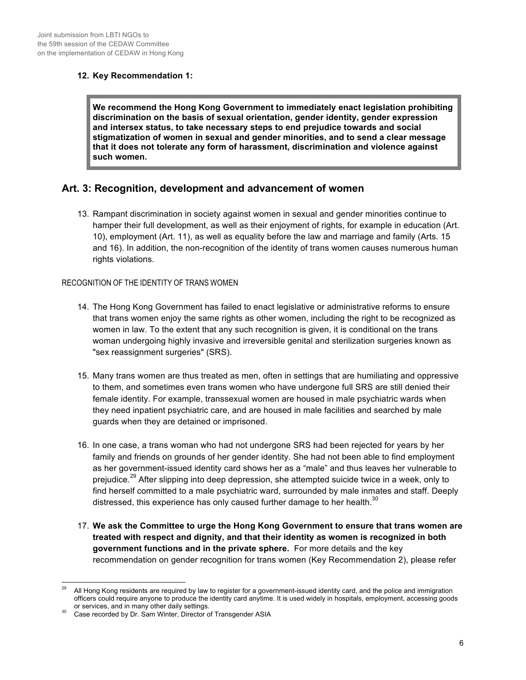#### **12. Key Recommendation 1:**

**We recommend the Hong Kong Government to immediately enact legislation prohibiting discrimination on the basis of sexual orientation, gender identity, gender expression and intersex status, to take necessary steps to end prejudice towards and social stigmatization of women in sexual and gender minorities, and to send a clear message that it does not tolerate any form of harassment, discrimination and violence against such women.**

## **Art. 3: Recognition, development and advancement of women**

13. Rampant discrimination in society against women in sexual and gender minorities continue to hamper their full development, as well as their enjoyment of rights, for example in education (Art. 10), employment (Art. 11), as well as equality before the law and marriage and family (Arts. 15 and 16). In addition, the non-recognition of the identity of trans women causes numerous human rights violations.

#### RECOGNITION OF THE IDENTITY OF TRANS WOMEN

- 14. The Hong Kong Government has failed to enact legislative or administrative reforms to ensure that trans women enjoy the same rights as other women, including the right to be recognized as women in law. To the extent that any such recognition is given, it is conditional on the trans woman undergoing highly invasive and irreversible genital and sterilization surgeries known as "sex reassignment surgeries" (SRS).
- 15. Many trans women are thus treated as men, often in settings that are humiliating and oppressive to them, and sometimes even trans women who have undergone full SRS are still denied their female identity. For example, transsexual women are housed in male psychiatric wards when they need inpatient psychiatric care, and are housed in male facilities and searched by male guards when they are detained or imprisoned.
- 16. In one case, a trans woman who had not undergone SRS had been rejected for years by her family and friends on grounds of her gender identity. She had not been able to find employment as her government-issued identity card shows her as a "male" and thus leaves her vulnerable to prejudice.<sup>29</sup> After slipping into deep depression, she attempted suicide twice in a week, only to find herself committed to a male psychiatric ward, surrounded by male inmates and staff. Deeply distressed, this experience has only caused further damage to her health. $30$
- 17. **We ask the Committee to urge the Hong Kong Government to ensure that trans women are treated with respect and dignity, and that their identity as women is recognized in both government functions and in the private sphere.** For more details and the key recommendation on gender recognition for trans women (Key Recommendation 2), please refer

 <sup>29</sup> All Hong Kong residents are required by law to register for a government-issued identity card, and the police and immigration officers could require anyone to produce the identity card anytime. It is used widely in hospitals, employment, accessing goods

Case recorded by Dr. Sam Winter, Director of Transgender ASIA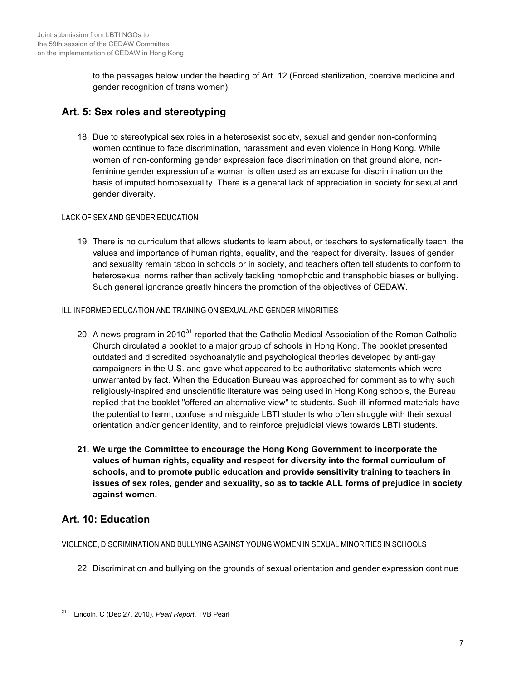to the passages below under the heading of Art. 12 (Forced sterilization, coercive medicine and gender recognition of trans women).

## **Art. 5: Sex roles and stereotyping**

18. Due to stereotypical sex roles in a heterosexist society, sexual and gender non-conforming women continue to face discrimination, harassment and even violence in Hong Kong. While women of non-conforming gender expression face discrimination on that ground alone, nonfeminine gender expression of a woman is often used as an excuse for discrimination on the basis of imputed homosexuality. There is a general lack of appreciation in society for sexual and gender diversity.

## LACK OF SEX AND GENDER EDUCATION

19. There is no curriculum that allows students to learn about, or teachers to systematically teach, the values and importance of human rights, equality, and the respect for diversity. Issues of gender and sexuality remain taboo in schools or in society, and teachers often tell students to conform to heterosexual norms rather than actively tackling homophobic and transphobic biases or bullying. Such general ignorance greatly hinders the promotion of the objectives of CEDAW.

#### ILL-INFORMED EDUCATION AND TRAINING ON SEXUAL AND GENDER MINORITIES

- 20. A news program in 2010<sup>31</sup> reported that the Catholic Medical Association of the Roman Catholic Church circulated a booklet to a major group of schools in Hong Kong. The booklet presented outdated and discredited psychoanalytic and psychological theories developed by anti-gay campaigners in the U.S. and gave what appeared to be authoritative statements which were unwarranted by fact. When the Education Bureau was approached for comment as to why such religiously-inspired and unscientific literature was being used in Hong Kong schools, the Bureau replied that the booklet "offered an alternative view" to students. Such ill-informed materials have the potential to harm, confuse and misguide LBTI students who often struggle with their sexual orientation and/or gender identity, and to reinforce prejudicial views towards LBTI students.
- **21. We urge the Committee to encourage the Hong Kong Government to incorporate the values of human rights, equality and respect for diversity into the formal curriculum of schools, and to promote public education and provide sensitivity training to teachers in issues of sex roles, gender and sexuality, so as to tackle ALL forms of prejudice in society against women.**

# **Art. 10: Education**

VIOLENCE, DISCRIMINATION AND BULLYING AGAINST YOUNG WOMEN IN SEXUAL MINORITIES IN SCHOOLS

22. Discrimination and bullying on the grounds of sexual orientation and gender expression continue

 <sup>31</sup> Lincoln, C (Dec 27, 2010). *Pearl Report*. TVB Pearl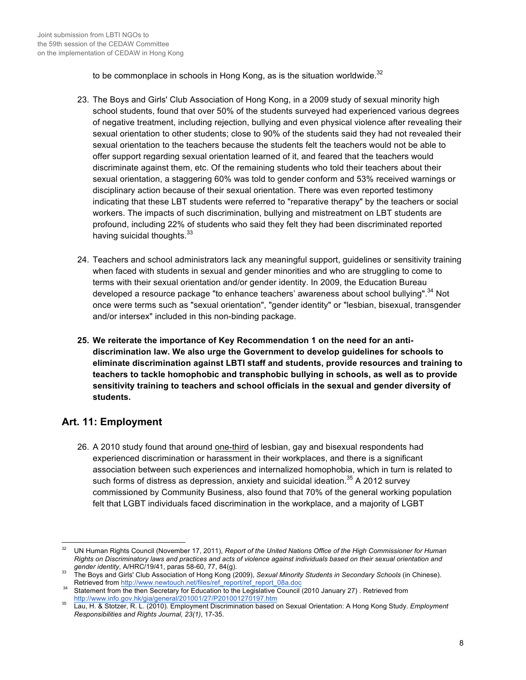to be commonplace in schools in Hong Kong, as is the situation worldwide. $32$ 

- 23. The Boys and Girls' Club Association of Hong Kong, in a 2009 study of sexual minority high school students, found that over 50% of the students surveyed had experienced various degrees of negative treatment, including rejection, bullying and even physical violence after revealing their sexual orientation to other students; close to 90% of the students said they had not revealed their sexual orientation to the teachers because the students felt the teachers would not be able to offer support regarding sexual orientation learned of it, and feared that the teachers would discriminate against them, etc. Of the remaining students who told their teachers about their sexual orientation, a staggering 60% was told to gender conform and 53% received warnings or disciplinary action because of their sexual orientation. There was even reported testimony indicating that these LBT students were referred to "reparative therapy" by the teachers or social workers. The impacts of such discrimination, bullying and mistreatment on LBT students are profound, including 22% of students who said they felt they had been discriminated reported having suicidal thoughts.<sup>33</sup>
- 24. Teachers and school administrators lack any meaningful support, guidelines or sensitivity training when faced with students in sexual and gender minorities and who are struggling to come to terms with their sexual orientation and/or gender identity. In 2009, the Education Bureau developed a resource package "to enhance teachers' awareness about school bullying".<sup>34</sup> Not once were terms such as "sexual orientation", "gender identity" or "lesbian, bisexual, transgender and/or intersex" included in this non-binding package.
- **25. We reiterate the importance of Key Recommendation 1 on the need for an antidiscrimination law. We also urge the Government to develop guidelines for schools to eliminate discrimination against LBTI staff and students, provide resources and training to teachers to tackle homophobic and transphobic bullying in schools, as well as to provide sensitivity training to teachers and school officials in the sexual and gender diversity of students.**

# **Art. 11: Employment**

26. A 2010 study found that around one-third of lesbian, gay and bisexual respondents had experienced discrimination or harassment in their workplaces, and there is a significant association between such experiences and internalized homophobia, which in turn is related to such forms of distress as depression, anxiety and suicidal ideation. $35$  A 2012 survey commissioned by Community Business, also found that 70% of the general working population felt that LGBT individuals faced discrimination in the workplace, and a majority of LGBT

 <sup>32</sup> UN Human Rights Council (November 17, 2011), *Report of the United Nations Office of the High Commissioner for Human Rights on Discriminatory laws and practices and acts of violence against individuals based on their sexual orientation and* 

*gender identity*, A/HRC/19/41, paras 58-60, 77, 84(g).<br>33 The Boys and Girls' Club Association of Hong Kong (2009), *Sexual Minority Students in Secondary Schools* (in Chinese).<br>33 Retrieved from http://www.newtouch.net/f

<sup>&</sup>lt;sup>34</sup> Statement from the then Secretary for Education to the Legislative Council (2010 January 27) . Retrieved from

http://www.info.gov.hk/gia/general/201001/27/P201001270197.htm <sup>35</sup> Lau, H. & Stotzer, R. L. (2010). Employment Discrimination based on Sexual Orientation: A Hong Kong Study. *Employment Responsibilities and Rights Journal, 23(1)*, 17-35.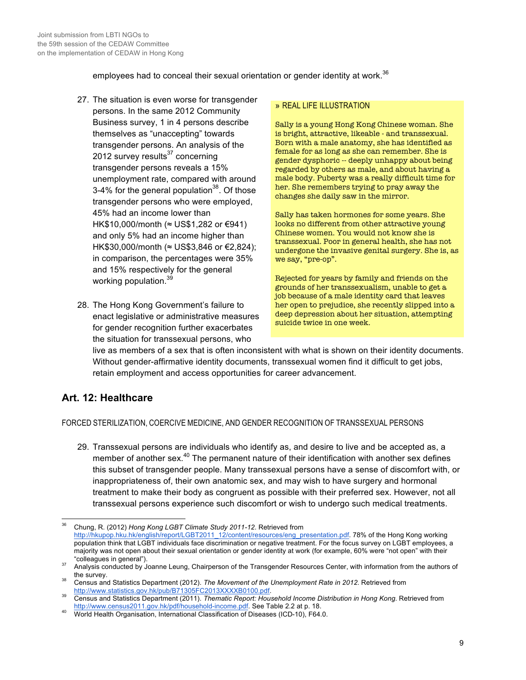employees had to conceal their sexual orientation or gender identity at work. $36$ 

- 27. The situation is even worse for transgender persons. In the same 2012 Community Business survey, 1 in 4 persons describe themselves as "unaccepting" towards transgender persons. An analysis of the 2012 survey results $37$  concerning transgender persons reveals a 15% unemployment rate, compared with around 3-4% for the general population<sup>38</sup>. Of those transgender persons who were employed, 45% had an income lower than HK\$10,000/month (≈ US\$1,282 or €941) and only 5% had an income higher than HK\$30,000/month (≈ US\$3,846 or €2,824): in comparison, the percentages were 35% and 15% respectively for the general working population.<sup>39</sup>
- 28. The Hong Kong Government's failure to enact legislative or administrative measures for gender recognition further exacerbates the situation for transsexual persons, who

#### » REAL LIFE ILLUSTRATION

Sally is a young Hong Kong Chinese woman. She is bright, attractive, likeable - and transsexual. Born with a male anatomy, she has identified as female for as long as she can remember. She is gender dysphoric -- deeply unhappy about being regarded by others as male, and about having a male body. Puberty was a really difficult time for her. She remembers trying to pray away the changes she daily saw in the mirror.

Sally has taken hormones for some years. She looks no different from other attractive young Chinese women. You would not know she is transsexual. Poor in general health, she has not undergone the invasive genital surgery. She is, as we say, "pre-op".

Rejected for years by family and friends on the grounds of her transsexualism, unable to get a job because of a male identity card that leaves her open to prejudice, she recently slipped into a deep depression about her situation, attempting suicide twice in one week.

live as members of a sex that is often inconsistent with what is shown on their identity documents. Without gender-affirmative identity documents, transsexual women find it difficult to get jobs, retain employment and access opportunities for career advancement.

# **Art. 12: Healthcare**

FORCED STERILIZATION, COERCIVE MEDICINE, AND GENDER RECOGNITION OF TRANSSEXUAL PERSONS

29. Transsexual persons are individuals who identify as, and desire to live and be accepted as, a member of another sex.<sup>40</sup> The permanent nature of their identification with another sex defines this subset of transgender people. Many transsexual persons have a sense of discomfort with, or inappropriateness of, their own anatomic sex, and may wish to have surgery and hormonal treatment to make their body as congruent as possible with their preferred sex. However, not all transsexual persons experience such discomfort or wish to undergo such medical treatments.

 <sup>36</sup> Chung, R. (2012) *Hong Kong LGBT Climate Study 2011-12*. Retrieved from http://hkupop.hku.hk/english/report/LGBT2011\_12/content/resources/eng\_presentation.pdf. 78% of the Hong Kong working population think that LGBT individuals face discrimination or negative treatment. For the focus survey on LGBT employees, a majority was not open about their sexual orientation or gender identity at work (for example, 60% were "not open" with their

<sup>&</sup>quot;colleagues in general"). <sup>37</sup> Analysis conducted by Joanne Leung, Chairperson of the Transgender Resources Center, with information from the authors of

the survey.<br>38 Census and Statistics Department (2012). *The Movement of the Unemployment Rate in 2012*. Retrieved from<br>http://www.statistics.gov.hk/pub/B71305FC2013XXXXB0100.pdf.

Census and Statistics Department (2011). *Thematic Report: Household Income Distribution in Hong Kong.* Retrieved from<br>http://www.census2011.gov.hk/pdf/household-income.pdf. See Table 2.2 at p. 18.

World Health Organisation, International Classification of Diseases (ICD-10), F64.0.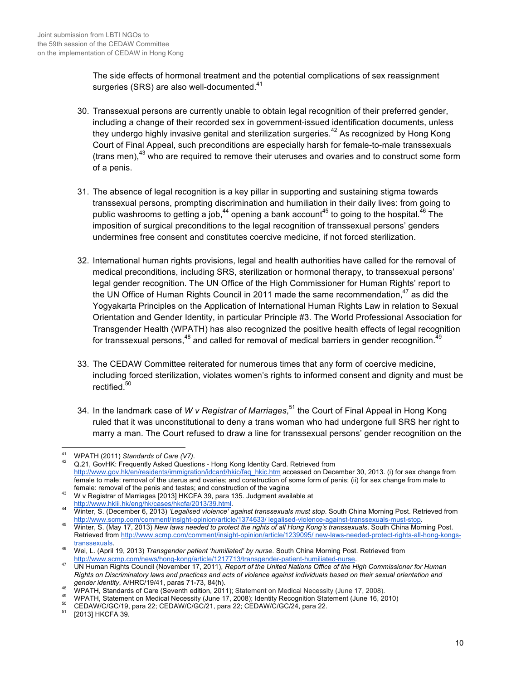The side effects of hormonal treatment and the potential complications of sex reassignment surgeries (SRS) are also well-documented.<sup>41</sup>

- 30. Transsexual persons are currently unable to obtain legal recognition of their preferred gender, including a change of their recorded sex in government-issued identification documents, unless they undergo highly invasive genital and sterilization surgeries.<sup>42</sup> As recognized by Hong Kong Court of Final Appeal, such preconditions are especially harsh for female-to-male transsexuals (trans men), $43$  who are required to remove their uteruses and ovaries and to construct some form of a penis.
- 31. The absence of legal recognition is a key pillar in supporting and sustaining stigma towards transsexual persons, prompting discrimination and humiliation in their daily lives: from going to public washrooms to getting a job,  $44$  opening a bank account<sup>45</sup> to going to the hospital.  $46$  The imposition of surgical preconditions to the legal recognition of transsexual persons' genders undermines free consent and constitutes coercive medicine, if not forced sterilization.
- 32. International human rights provisions, legal and health authorities have called for the removal of medical preconditions, including SRS, sterilization or hormonal therapy, to transsexual persons' legal gender recognition. The UN Office of the High Commissioner for Human Rights' report to the UN Office of Human Rights Council in 2011 made the same recommendation.<sup>47</sup> as did the Yogyakarta Principles on the Application of International Human Rights Law in relation to Sexual Orientation and Gender Identity, in particular Principle #3. The World Professional Association for Transgender Health (WPATH) has also recognized the positive health effects of legal recognition for transsexual persons, $48$  and called for removal of medical barriers in gender recognition.  $48$
- 33. The CEDAW Committee reiterated for numerous times that any form of coercive medicine, including forced sterilization, violates women's rights to informed consent and dignity and must be rectified.<sup>50</sup>
- 34. In the landmark case of *W v Registrar of Marriages*, <sup>51</sup> the Court of Final Appeal in Hong Kong ruled that it was unconstitutional to deny a trans woman who had undergone full SRS her right to marry a man. The Court refused to draw a line for transsexual persons' gender recognition on the

<sup>&</sup>lt;sup>41</sup> WPATH (2011) *Standards of Care (V7)*.<br><sup>42</sup> Q.21, GovHK: Frequently Asked Questions - Hong Kong Identity Card. Retrieved from http://www.gov.hk/en/residents/immigration/idcard/hkic/faq\_hkic.htm accessed on December 30, 2013. (i) for sex change from female to male: removal of the uterus and ovaries; and construction of some form of penis; (ii) for sex change from male to female: removal of the penis and testes; and construction of the vagina

<sup>&</sup>lt;sup>43</sup> W v Registrar of Marriages [2013] HKCFA 39, para 135. Judgment available at http://www.hklii.hk/eng/hk/cases/hkcfa/2013/39.html.

http://www.hklii.hk/eng/hk/cases/hkcfa/2013/39.html. 44 Winter, S. (December 6, 2013) *'Legalised violence' against transsexuals must stop*. South China Morning Post. Retrieved from http://www.scmp.com/comment/insight-opinion/article/1374633/ legalised-violence-against-transsexuals-must-stop.<br>Winter, S. (May 17, 2013) New laws needed to protect the rights of all Hong Kong's transsexuals. South China M

Retrieved from http://www.scmp.com/comment/insight-opinion/article/1239095/ new-laws-needed-protect-rights-all-hong-kongs-

transsexuals. <sup>46</sup> Wei, L. (April 19, 2013) *Transgender patient 'humiliated' by nurse*. South China Morning Post. Retrieved from

http://www.scmp.com/news/hong-kong/article/1217713/transgender-patient-humiliated-nurse. <sup>47</sup> UN Human Rights Council (November 17, 2011), *Report of the United Nations Office of the High Commissioner for Human Rights on Discriminatory laws and practices and acts of violence against individuals based on their sexual orientation and* 

<sup>&</sup>lt;sup>48</sup> WPATH, Standards of Care (Seventh edition, 2011); Statement on Medical Necessity (June 17, 2008).<br><sup>49</sup> WPATH, Statement on Medical Necessity (June 17, 2008); Identity Recognition Statement (June 16, 2010)<br><sup>50</sup> CEDAW/C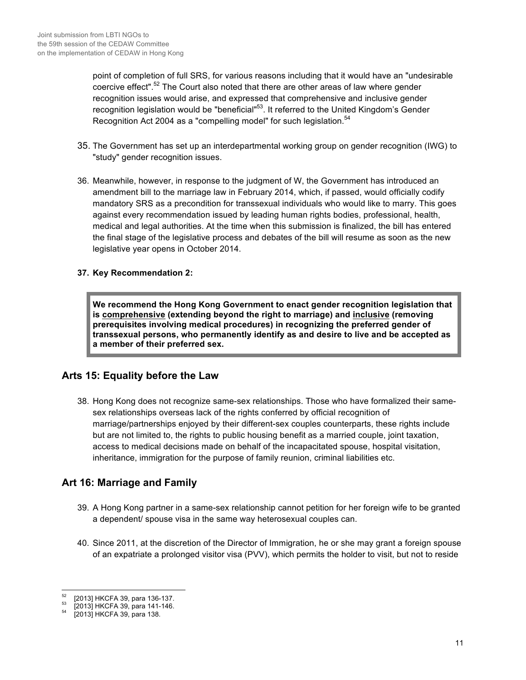point of completion of full SRS, for various reasons including that it would have an "undesirable coercive effect".<sup>52</sup> The Court also noted that there are other areas of law where gender recognition issues would arise, and expressed that comprehensive and inclusive gender recognition legislation would be "beneficial"53. It referred to the United Kingdom's Gender Recognition Act 2004 as a "compelling model" for such legislation.<sup>54</sup>

- 35. The Government has set up an interdepartmental working group on gender recognition (IWG) to "study" gender recognition issues.
- 36. Meanwhile, however, in response to the judgment of W, the Government has introduced an amendment bill to the marriage law in February 2014, which, if passed, would officially codify mandatory SRS as a precondition for transsexual individuals who would like to marry. This goes against every recommendation issued by leading human rights bodies, professional, health, medical and legal authorities. At the time when this submission is finalized, the bill has entered the final stage of the legislative process and debates of the bill will resume as soon as the new legislative year opens in October 2014.

#### **37. Key Recommendation 2:**

**We recommend the Hong Kong Government to enact gender recognition legislation that is comprehensive (extending beyond the right to marriage) and inclusive (removing prerequisites involving medical procedures) in recognizing the preferred gender of transsexual persons, who permanently identify as and desire to live and be accepted as a member of their preferred sex.**

## **Arts 15: Equality before the Law**

38. Hong Kong does not recognize same-sex relationships. Those who have formalized their samesex relationships overseas lack of the rights conferred by official recognition of marriage/partnerships enjoyed by their different-sex couples counterparts, these rights include but are not limited to, the rights to public housing benefit as a married couple, joint taxation, access to medical decisions made on behalf of the incapacitated spouse, hospital visitation, inheritance, immigration for the purpose of family reunion, criminal liabilities etc.

## **Art 16: Marriage and Family**

- 39. A Hong Kong partner in a same-sex relationship cannot petition for her foreign wife to be granted a dependent/ spouse visa in the same way heterosexual couples can.
- 40. Since 2011, at the discretion of the Director of Immigration, he or she may grant a foreign spouse of an expatriate a prolonged visitor visa (PVV), which permits the holder to visit, but not to reside

 $^{52}$  [2013] HKCFA 39, para 136-137.<br> $^{53}$  [2013] HKCFA 39, para 141-146.<br> $^{54}$  [2013] HKCFA 39, para 138.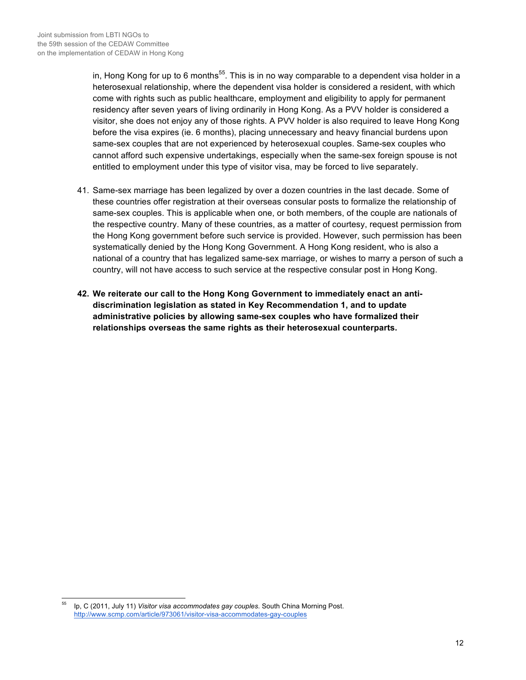in, Hong Kong for up to 6 months<sup>55</sup>. This is in no way comparable to a dependent visa holder in a heterosexual relationship, where the dependent visa holder is considered a resident, with which come with rights such as public healthcare, employment and eligibility to apply for permanent residency after seven years of living ordinarily in Hong Kong. As a PVV holder is considered a visitor, she does not enjoy any of those rights. A PVV holder is also required to leave Hong Kong before the visa expires (ie. 6 months), placing unnecessary and heavy financial burdens upon same-sex couples that are not experienced by heterosexual couples. Same-sex couples who cannot afford such expensive undertakings, especially when the same-sex foreign spouse is not entitled to employment under this type of visitor visa, may be forced to live separately.

- 41. Same-sex marriage has been legalized by over a dozen countries in the last decade. Some of these countries offer registration at their overseas consular posts to formalize the relationship of same-sex couples. This is applicable when one, or both members, of the couple are nationals of the respective country. Many of these countries, as a matter of courtesy, request permission from the Hong Kong government before such service is provided. However, such permission has been systematically denied by the Hong Kong Government. A Hong Kong resident, who is also a national of a country that has legalized same-sex marriage, or wishes to marry a person of such a country, will not have access to such service at the respective consular post in Hong Kong.
- **42. We reiterate our call to the Hong Kong Government to immediately enact an antidiscrimination legislation as stated in Key Recommendation 1, and to update administrative policies by allowing same-sex couples who have formalized their relationships overseas the same rights as their heterosexual counterparts.**

 <sup>55</sup> Ip, C (2011, July 11) *Visitor visa accommodates gay couples*. South China Morning Post. http://www.scmp.com/article/973061/visitor-visa-accommodates-gay-couples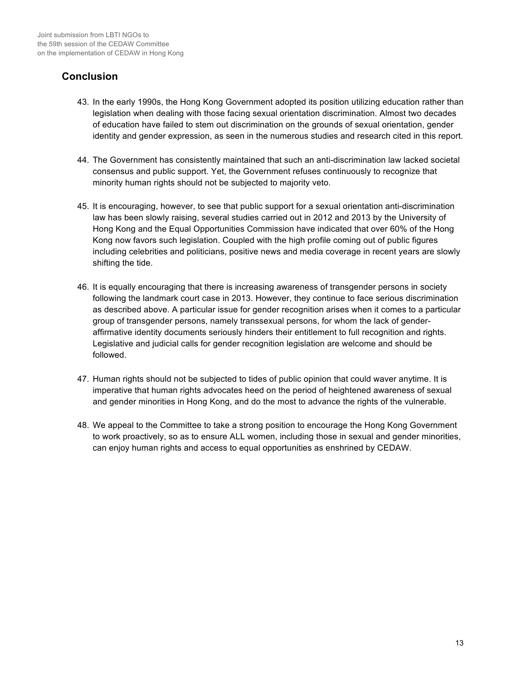## **Conclusion**

- 43. In the early 1990s, the Hong Kong Government adopted its position utilizing education rather than legislation when dealing with those facing sexual orientation discrimination. Almost two decades of education have failed to stem out discrimination on the grounds of sexual orientation, gender identity and gender expression, as seen in the numerous studies and research cited in this report.
- 44. The Government has consistently maintained that such an anti-discrimination law lacked societal consensus and public support. Yet, the Government refuses continuously to recognize that minority human rights should not be subjected to majority veto.
- 45. It is encouraging, however, to see that public support for a sexual orientation anti-discrimination law has been slowly raising, several studies carried out in 2012 and 2013 by the University of Hong Kong and the Equal Opportunities Commission have indicated that over 60% of the Hong Kong now favors such legislation. Coupled with the high profile coming out of public figures including celebrities and politicians, positive news and media coverage in recent years are slowly shifting the tide.
- 46. It is equally encouraging that there is increasing awareness of transgender persons in society following the landmark court case in 2013. However, they continue to face serious discrimination as described above. A particular issue for gender recognition arises when it comes to a particular group of transgender persons, namely transsexual persons, for whom the lack of genderaffirmative identity documents seriously hinders their entitlement to full recognition and rights. Legislative and judicial calls for gender recognition legislation are welcome and should be followed.
- 47. Human rights should not be subjected to tides of public opinion that could waver anytime. It is imperative that human rights advocates heed on the period of heightened awareness of sexual and gender minorities in Hong Kong, and do the most to advance the rights of the vulnerable.
- 48. We appeal to the Committee to take a strong position to encourage the Hong Kong Government to work proactively, so as to ensure ALL women, including those in sexual and gender minorities, can enjoy human rights and access to equal opportunities as enshrined by CEDAW.